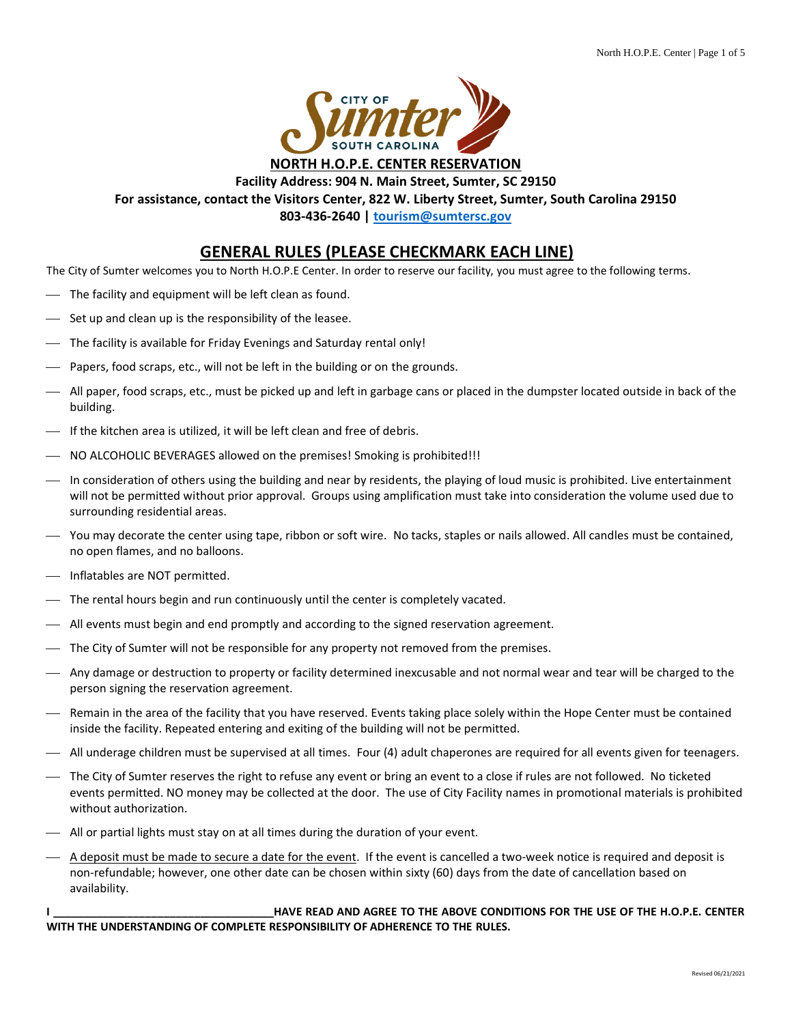

#### **Facility Address: 904 N. Main Street, Sumter, SC 29150 For assistance, contact the Visitors Center, 822 W. Liberty Street, Sumter, South Carolina 29150**

**803-436-2640 | [tourism@sumtersc.gov](mailto:tourism@sumtersc.gov)**

#### **GENERAL RULES (PLEASE CHECKMARK EACH LINE)**

The City of Sumter welcomes you to North H.O.P.E Center. In order to reserve our facility, you must agree to the following terms.

- $-$  The facility and equipment will be left clean as found.
- Set up and clean up is the responsibility of the leasee.
- $-$  The facility is available for Friday Evenings and Saturday rental only!
- Papers, food scraps, etc., will not be left in the building or on the grounds.
- ⎯ All paper, food scraps, etc., must be picked up and left in garbage cans or placed in the dumpster located outside in back of the building.
- ⎯ If the kitchen area is utilized, it will be left clean and free of debris.
- $-$  NO ALCOHOLIC BEVERAGES allowed on the premises! Smoking is prohibited!!!
- ⎯ In consideration of others using the building and near by residents, the playing of loud music is prohibited. Live entertainment will not be permitted without prior approval. Groups using amplification must take into consideration the volume used due to surrounding residential areas.
- ⎯ You may decorate the center using tape, ribbon or soft wire. No tacks, staples or nails allowed. All candles must be contained, no open flames, and no balloons.
- Inflatables are NOT permitted.
- $\overline{\phantom{a}}$  The rental hours begin and run continuously until the center is completely vacated.
- $-$  All events must begin and end promptly and according to the signed reservation agreement.
- ⎯ The City of Sumter will not be responsible for any property not removed from the premises.
- ⎯ Any damage or destruction to property or facility determined inexcusable and not normal wear and tear will be charged to the person signing the reservation agreement.
- ⎯ Remain in the area of the facility that you have reserved. Events taking place solely within the Hope Center must be contained inside the facility. Repeated entering and exiting of the building will not be permitted.
- ⎯ All underage children must be supervised at all times. Four (4) adult chaperones are required for all events given for teenagers.
- ⎯ The City of Sumter reserves the right to refuse any event or bring an event to a close if rules are not followed. No ticketed events permitted. NO money may be collected at the door. The use of City Facility names in promotional materials is prohibited without authorization.
- All or partial lights must stay on at all times during the duration of your event.
- ⎯ A deposit must be made to secure a date for the event. If the event is cancelled a two-week notice is required and deposit is non-refundable; however, one other date can be chosen within sixty (60) days from the date of cancellation based on availability.

**I \_\_\_\_\_\_\_\_\_\_\_\_\_\_\_\_\_\_\_\_\_\_\_\_\_\_\_\_\_\_\_\_\_\_\_\_HAVE READ AND AGREE TO THE ABOVE CONDITIONS FOR THE USE OF THE H.O.P.E. CENTER WITH THE UNDERSTANDING OF COMPLETE RESPONSIBILITY OF ADHERENCE TO THE RULES.**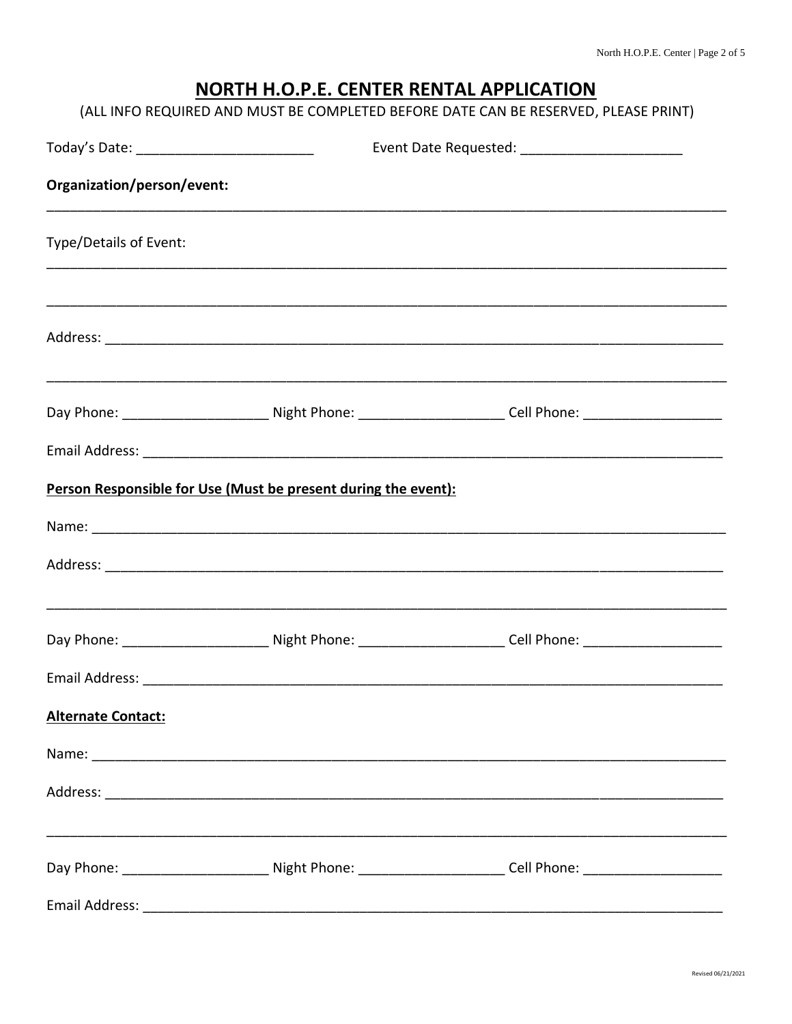# NORTH H.O.P.E. CENTER RENTAL APPLICATION

| (ALL INFO REQUIRED AND MUST BE COMPLETED BEFORE DATE CAN BE RESERVED, PLEASE PRINT) |  |
|-------------------------------------------------------------------------------------|--|
|-------------------------------------------------------------------------------------|--|

| Today's Date: _______________________________                  |  | Event Date Requested: _________________________                                                                |  |  |
|----------------------------------------------------------------|--|----------------------------------------------------------------------------------------------------------------|--|--|
| Organization/person/event:                                     |  |                                                                                                                |  |  |
| Type/Details of Event:                                         |  |                                                                                                                |  |  |
|                                                                |  |                                                                                                                |  |  |
|                                                                |  |                                                                                                                |  |  |
|                                                                |  | Day Phone: ______________________________Night Phone: _________________________Cell Phone: ___________________ |  |  |
|                                                                |  |                                                                                                                |  |  |
| Person Responsible for Use (Must be present during the event): |  |                                                                                                                |  |  |
|                                                                |  |                                                                                                                |  |  |
|                                                                |  |                                                                                                                |  |  |
|                                                                |  | Day Phone: ______________________________Night Phone: _________________________Cell Phone: ___________________ |  |  |
|                                                                |  |                                                                                                                |  |  |
| <b>Alternate Contact:</b>                                      |  |                                                                                                                |  |  |
|                                                                |  |                                                                                                                |  |  |
|                                                                |  |                                                                                                                |  |  |
|                                                                |  | Day Phone: ______________________________Night Phone: _________________________Cell Phone: ___________________ |  |  |
|                                                                |  |                                                                                                                |  |  |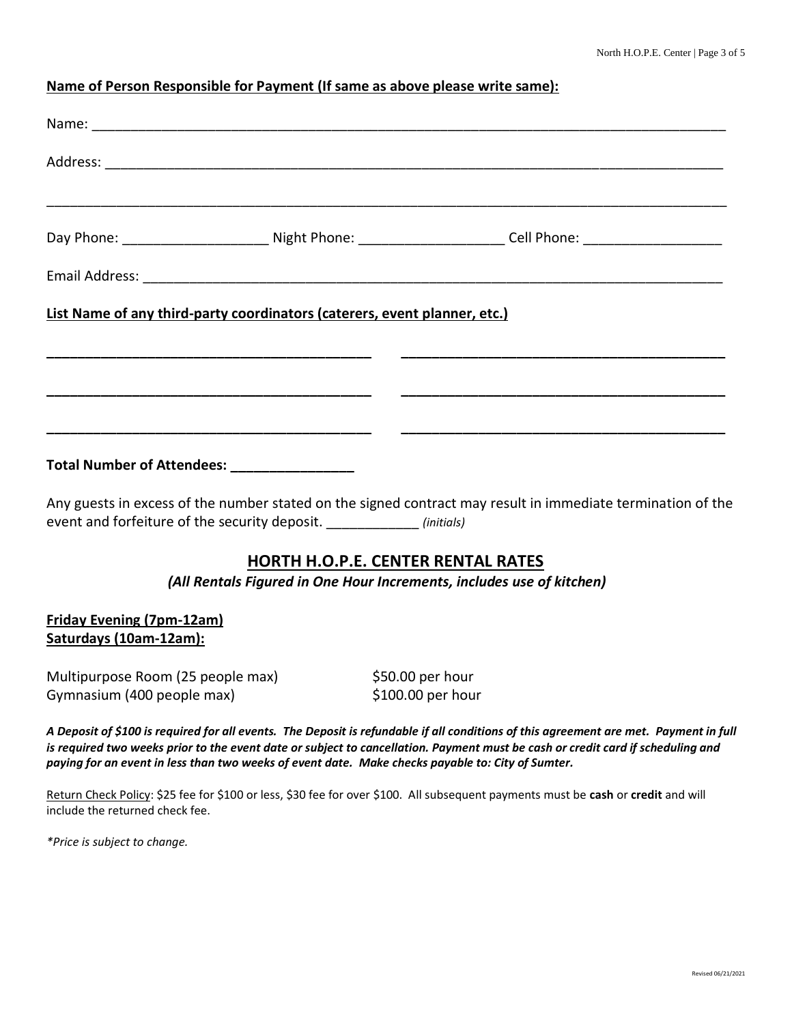## **Name of Person Responsible for Payment (If same as above please write same):**

|                                                                                                   | Day Phone: ______________________________Night Phone: _________________________Cell Phone: ___________________                                                                                                                                                           |
|---------------------------------------------------------------------------------------------------|--------------------------------------------------------------------------------------------------------------------------------------------------------------------------------------------------------------------------------------------------------------------------|
|                                                                                                   |                                                                                                                                                                                                                                                                          |
| List Name of any third-party coordinators (caterers, event planner, etc.)                         |                                                                                                                                                                                                                                                                          |
|                                                                                                   |                                                                                                                                                                                                                                                                          |
| Total Number of Attendees: ________________                                                       |                                                                                                                                                                                                                                                                          |
| event and forfeiture of the security deposit. ______________ (initials)                           | Any guests in excess of the number stated on the signed contract may result in immediate termination of the                                                                                                                                                              |
|                                                                                                   | <b>HORTH H.O.P.E. CENTER RENTAL RATES</b><br>(All Rentals Figured in One Hour Increments, includes use of kitchen)                                                                                                                                                       |
| <b>Friday Evening (7pm-12am)</b><br>Saturdays (10am-12am):                                        |                                                                                                                                                                                                                                                                          |
| Multipurpose Room (25 people max)<br>Gymnasium (400 people max)                                   | \$50.00 per hour<br>\$100.00 per hour                                                                                                                                                                                                                                    |
| paying for an event in less than two weeks of event date. Make checks payable to: City of Sumter. | A Deposit of \$100 is required for all events. The Deposit is refundable if all conditions of this agreement are met. Payment in full<br>is required two weeks prior to the event date or subject to cancellation. Payment must be cash or credit card if scheduling and |
| include the returned check fee.                                                                   | Return Check Policy: \$25 fee for \$100 or less, \$30 fee for over \$100. All subsequent payments must be cash or credit and will                                                                                                                                        |

*\*Price is subject to change.*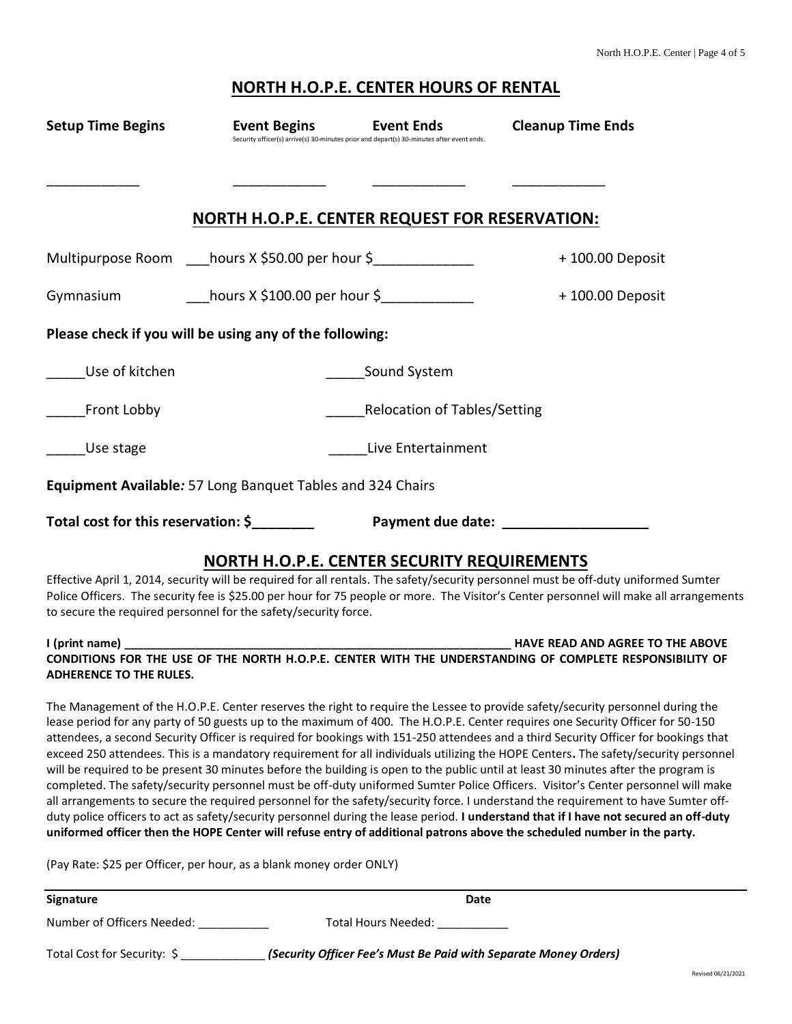#### **NORTH H.O.P.E. CENTER HOURS OF RENTAL**

| <b>Setup Time Begins</b>                                        | <b>Event Begins</b>                                   | <b>Event Ends</b><br>Security officer(s) arrive(s) 30-minutes prior and depart(s) 30-minutes after event ends. | <b>Cleanup Time Ends</b>                                                                                                                                                                                                                                                      |  |
|-----------------------------------------------------------------|-------------------------------------------------------|----------------------------------------------------------------------------------------------------------------|-------------------------------------------------------------------------------------------------------------------------------------------------------------------------------------------------------------------------------------------------------------------------------|--|
|                                                                 |                                                       |                                                                                                                |                                                                                                                                                                                                                                                                               |  |
|                                                                 | <b>NORTH H.O.P.E. CENTER REQUEST FOR RESERVATION:</b> |                                                                                                                |                                                                                                                                                                                                                                                                               |  |
| Multipurpose Room ____hours X \$50.00 per hour \$______________ |                                                       |                                                                                                                | +100.00 Deposit                                                                                                                                                                                                                                                               |  |
| Gymnasium                                                       | hours $X \xi$ 100.00 per hour $\xi$                   |                                                                                                                | +100.00 Deposit                                                                                                                                                                                                                                                               |  |
| Please check if you will be using any of the following:         |                                                       |                                                                                                                |                                                                                                                                                                                                                                                                               |  |
| Use of kitchen                                                  |                                                       | Sound System                                                                                                   |                                                                                                                                                                                                                                                                               |  |
| <b>Front Lobby</b>                                              | <b>Relocation of Tables/Setting</b>                   |                                                                                                                |                                                                                                                                                                                                                                                                               |  |
| Use stage                                                       | Live Entertainment                                    |                                                                                                                |                                                                                                                                                                                                                                                                               |  |
| Equipment Available: 57 Long Banquet Tables and 324 Chairs      |                                                       |                                                                                                                |                                                                                                                                                                                                                                                                               |  |
| Total cost for this reservation: \$                             |                                                       |                                                                                                                |                                                                                                                                                                                                                                                                               |  |
| to secure the required personnel for the safety/security force. | NORTH H.O.P.E. CENTER SECURITY REQUIREMENTS           |                                                                                                                | Effective April 1, 2014, security will be required for all rentals. The safety/security personnel must be off-duty uniformed Sumter<br>Police Officers. The security fee is \$25.00 per hour for 75 people or more. The Visitor's Center personnel will make all arrangements |  |
| <b>ADHERENCE TO THE RULES.</b>                                  |                                                       |                                                                                                                | CONDITIONS FOR THE USE OF THE NORTH H.O.P.E. CENTER WITH THE UNDERSTANDING OF COMPLETE RESPONSIBILITY OF                                                                                                                                                                      |  |
|                                                                 |                                                       |                                                                                                                | The Management of the H.O.P.E. Center reserves the right to require the Lessee to provide safety/security personnel during the<br>lease period for any party of 50 guests up to the maximum of 400. The H.O.P.E. Center requires one Security Officer for 50-150              |  |

lease period for any party of 50 guests up to the maximum of 400. The H.O.P.E. Center requires one Security Officer for 50-150 attendees, a second Security Officer is required for bookings with 151-250 attendees and a third Security Officer for bookings that exceed 250 attendees. This is a mandatory requirement for all individuals utilizing the HOPE Centers**.** The safety/security personnel will be required to be present 30 minutes before the building is open to the public until at least 30 minutes after the program is completed. The safety/security personnel must be off-duty uniformed Sumter Police Officers. Visitor's Center personnel will make all arrangements to secure the required personnel for the safety/security force. I understand the requirement to have Sumter offduty police officers to act as safety/security personnel during the lease period. **I understand that if I have not secured an off-duty uniformed officer then the HOPE Center will refuse entry of additional patrons above the scheduled number in the party.**

(Pay Rate: \$25 per Officer, per hour, as a blank money order ONLY)

| <b>Signature</b>            | Date                                                             |
|-----------------------------|------------------------------------------------------------------|
| Number of Officers Needed:  | Total Hours Needed:                                              |
| Total Cost for Security: \$ | (Security Officer Fee's Must Be Paid with Separate Money Orders) |